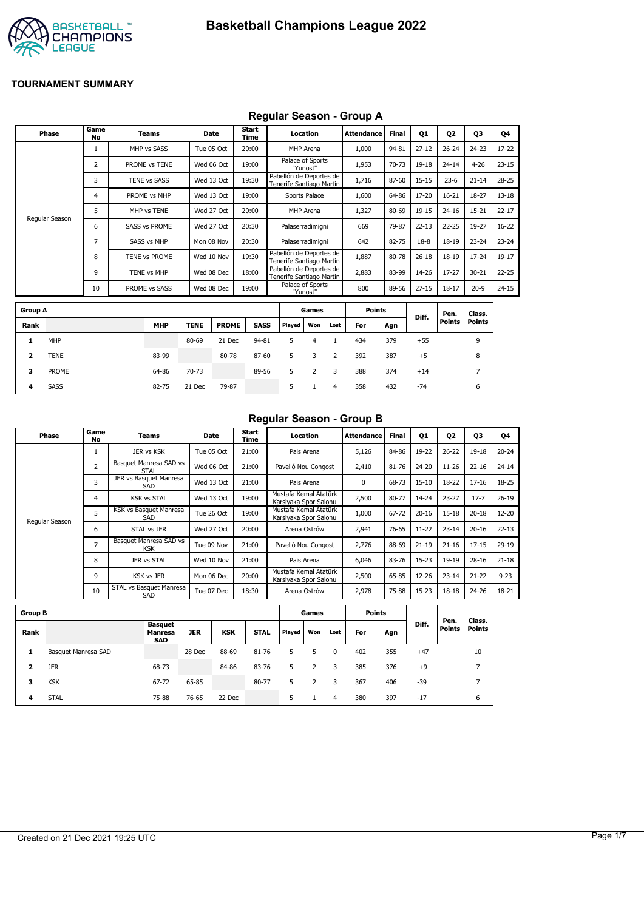

### **Regular Season - Group A**

|                | <b>Phase</b>   | Game<br>No     | Teams                |             | <b>Date</b>  | <b>Start</b><br>Time |        | Location                                            |      | <b>Attendance</b> | <b>Final</b> | 01        | <b>Q2</b>     | 03             | Q4        |
|----------------|----------------|----------------|----------------------|-------------|--------------|----------------------|--------|-----------------------------------------------------|------|-------------------|--------------|-----------|---------------|----------------|-----------|
|                |                | 1              | MHP vs SASS          |             | Tue 05 Oct   | 20:00                |        | MHP Arena                                           |      | 1,000             | 94-81        | $27 - 12$ | $26 - 24$     | $24 - 23$      | 17-22     |
|                |                | 2              | PROME vs TENE        |             | Wed 06 Oct   | 19:00                |        | Palace of Sports<br>"Yunost"                        |      | 1,953             | 70-73        | 19-18     | $24 - 14$     | $4 - 26$       | $23 - 15$ |
|                |                | 3              | <b>TENE vs SASS</b>  |             | Wed 13 Oct   | 19:30                |        | Pabellón de Deportes de<br>Tenerife Santiago Martin |      | 1,716             | 87-60        | $15 - 15$ | $23-6$        | $21 - 14$      | $28 - 25$ |
|                |                | 4              | PROME vs MHP         |             | Wed 13 Oct   | 19:00                |        | Sports Palace                                       |      | 1,600             | 64-86        | 17-20     | $16 - 21$     | 18-27          | $13 - 18$ |
|                |                | 5              | MHP vs TENE          |             | Wed 27 Oct   | 20:00                |        | MHP Arena                                           |      | 1,327             | 80-69        | 19-15     | $24 - 16$     | $15 - 21$      | $22 - 17$ |
|                | Regular Season | 6              | <b>SASS vs PROME</b> |             | Wed 27 Oct   | 20:30                |        | Palaserradimigni                                    |      | 669               | 79-87        | $22 - 13$ | $22 - 25$     | 19-27          | $16 - 22$ |
|                |                | $\overline{7}$ | <b>SASS vs MHP</b>   |             | Mon 08 Nov   | 20:30                |        | Palaserradimigni                                    |      | 642               | 82-75        | $18 - 8$  | 18-19         | $23 - 24$      | $23 - 24$ |
|                |                | 8              | TENE vs PROME        |             | Wed 10 Nov   | 19:30                |        | Pabellón de Deportes de<br>Tenerife Santiago Martin |      | 1,887             | 80-78        | $26 - 18$ | 18-19         | $17 - 24$      | $19-17$   |
|                |                | 9              | TENE vs MHP          |             | Wed 08 Dec   | 18:00                |        | Pabellón de Deportes de<br>Tenerife Santiago Martin |      | 2,883             | 83-99        | 14-26     | $17 - 27$     | 30-21          | $22 - 25$ |
|                |                | 10             | PROME vs SASS        |             | Wed 08 Dec   | 19:00                |        | Palace of Sports<br>"Yunost"                        |      | 800               | 89-56        | $27 - 15$ | $18 - 17$     | $20-9$         | $24 - 15$ |
|                |                |                |                      |             |              |                      |        |                                                     |      |                   |              |           |               |                |           |
| <b>Group A</b> |                |                |                      |             |              |                      |        | Games                                               |      | <b>Points</b>     |              | Diff.     | Pen.          | Class.         |           |
| Rank           |                |                | <b>MHP</b>           | <b>TENE</b> | <b>PROME</b> | <b>SASS</b>          | Played | Won                                                 | Lost | For               | Agn          |           | <b>Points</b> | <b>Points</b>  |           |
| 1              | <b>MHP</b>     |                |                      | 80-69       | 21 Dec       | 94-81                | 5      | 4                                                   | 1    | 434               | 379          | $+55$     |               | 9              |           |
| 2              | <b>TENE</b>    |                | 83-99                |             | 80-78        | 87-60                | 5      | 3                                                   | 2    | 392               | 387          | $+5$      |               | 8              |           |
| 3              | <b>PROME</b>   |                | 64-86                | 70-73       |              | 89-56                | 5      | 2                                                   | 3    | 388               | 374          | $+14$     |               | $\overline{7}$ |           |

**4** SASS 82-75 21 Dec 79-87 5 1 4 358 432 -74 6

#### **Regular Season - Group B**

| Phase          | Game<br>No     | Teams                                | Date       | Start<br>Time | Location                                       | Attendance | <b>Final</b> | Q1        | 02        | 03        | Q4        |
|----------------|----------------|--------------------------------------|------------|---------------|------------------------------------------------|------------|--------------|-----------|-----------|-----------|-----------|
|                |                | JER vs KSK                           | Tue 05 Oct | 21:00         | Pais Arena                                     | 5,126      | 84-86        | 19-22     | $26 - 22$ | $19 - 18$ | $20 - 24$ |
|                | 2              | Basquet Manresa SAD vs<br>STAL       | Wed 06 Oct | 21:00         | Pavelló Nou Congost                            | 2,410      | 81-76        | 24-20     | $11 - 26$ | $22 - 16$ | $24 - 14$ |
|                | 3              | JER vs Basquet Manresa<br>SAD        | Wed 13 Oct | 21:00         | Pais Arena                                     | 0          | 68-73        | $15 - 10$ | 18-22     | $17 - 16$ | 18-25     |
|                | 4              | <b>KSK vs STAL</b>                   | Wed 13 Oct | 19:00         | Mustafa Kemal Atatürk<br>Karsiyaka Spor Salonu | 2,500      | 80-77        | 14-24     | $23 - 27$ | $17 - 7$  | $26 - 19$ |
| Regular Season | 5              | KSK vs Basquet Manresa<br>SAD        | Tue 26 Oct | 19:00         | Mustafa Kemal Atatürk<br>Karsiyaka Spor Salonu | 1,000      | 67-72        | $20 - 16$ | $15 - 18$ | $20 - 18$ | $12 - 20$ |
|                | 6              | STAL vs JER                          | Wed 27 Oct | 20:00         | Arena Ostrów                                   | 2,941      | 76-65        | $11 - 22$ | $23 - 14$ | $20 - 16$ | $22 - 13$ |
|                | $\overline{7}$ | Basquet Manresa SAD vs<br><b>KSK</b> | Tue 09 Nov | 21:00         | Pavelló Nou Congost                            | 2,776      | 88-69        | $21 - 19$ | $21 - 16$ | $17 - 15$ | $29-19$   |
|                | 8              | JER vs STAL                          | Wed 10 Nov | 21:00         | Pais Arena                                     | 6,046      | 83-76        | $15 - 23$ | 19-19     | $28 - 16$ | $21 - 18$ |
|                | 9              | <b>KSK vs JER</b>                    | Mon 06 Dec | 20:00         | Mustafa Kemal Atatürk<br>Karsiyaka Spor Salonu | 2,500      | 65-85        | 12-26     | $23 - 14$ | $21 - 22$ | $9 - 23$  |
|                | 10             | STAL vs Basquet Manresa<br>SAD       | Tue 07 Dec | 18:30         | Arena Ostrów                                   | 2,978      | 75-88        | 15-23     | $18 - 18$ | $24 - 26$ | 18-21     |

| <b>Group B</b> |                     |                                         |            |            |             |        | Games |      | <b>Points</b> |     |       |                       |                         |
|----------------|---------------------|-----------------------------------------|------------|------------|-------------|--------|-------|------|---------------|-----|-------|-----------------------|-------------------------|
| Rank           |                     | <b>Basquet</b><br>Manresa<br><b>SAD</b> | <b>JER</b> | <b>KSK</b> | <b>STAL</b> | Played | Won   | Lost | For           | Agn | Diff. | Pen.<br><b>Points</b> | Class.<br><b>Points</b> |
| 1              | Basquet Manresa SAD |                                         | 28 Dec     | 88-69      | 81-76       | 5      |       | 0    | 402           | 355 | $+47$ |                       | 10                      |
| 2              | <b>JER</b>          | 68-73                                   |            | 84-86      | 83-76       | 5      |       | 3    | 385           | 376 | $+9$  |                       | ⇁                       |
| 3              | <b>KSK</b>          | 67-72                                   | 65-85      |            | 80-77       | 5      | 2     | 3    | 367           | 406 | $-39$ |                       | ⇁                       |
| 4              | <b>STAL</b>         | 75-88                                   | 76-65      | 22 Dec     |             | 5.     |       | 4    | 380           | 397 | $-17$ |                       | 6                       |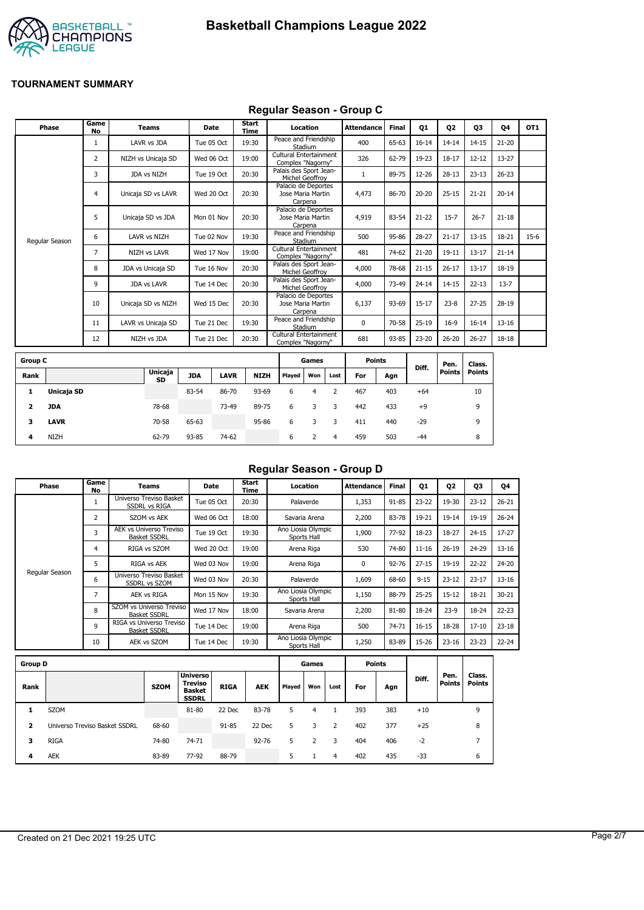



#### **Regular Season - Group C**

| Phase          | Game<br>No | <b>Teams</b>        | Date       | Start<br>Time | Location                                            | Attendance   | <b>Final</b> | Q1        | Q <sub>2</sub> | Q3        | Q4        | OT <sub>1</sub> |
|----------------|------------|---------------------|------------|---------------|-----------------------------------------------------|--------------|--------------|-----------|----------------|-----------|-----------|-----------------|
|                |            | LAVR vs JDA         | Tue 05 Oct | 19:30         | Peace and Friendship<br>Stadium                     | 400          | 65-63        | $16 - 14$ | $14 - 14$      | $14 - 15$ | $21 - 20$ |                 |
|                | 2          | NIZH vs Unicaja SD  | Wed 06 Oct | 19:00         | Cultural Entertainment<br>Complex "Nagorny"         | 326          | 62-79        | 19-23     | $18 - 17$      | $12 - 12$ | 13-27     |                 |
|                | 3          | JDA vs NIZH         | Tue 19 Oct | 20:30         | Palais des Sport Jean-<br>Michel Geoffroy           |              | 89-75        | 12-26     | $28 - 13$      | $23 - 13$ | $26 - 23$ |                 |
|                | 4          | Unicaja SD vs LAVR  | Wed 20 Oct | 20:30         | Palacio de Deportes<br>Jose Maria Martin<br>Carpena | 4,473        | 86-70        | $20 - 20$ | $25 - 15$      | $21 - 21$ | $20 - 14$ |                 |
|                | 5          | Unicaja SD vs JDA   | Mon 01 Nov | 20:30         | Palacio de Deportes<br>Jose Maria Martin<br>Carpena | 4,919        | 83-54        | $21 - 22$ | $15 - 7$       | $26 - 7$  | $21 - 18$ |                 |
| Regular Season | 6          | LAVR vs NIZH        | Tue 02 Nov | 19:30         | Peace and Friendship<br>Stadium                     | 500          | 95-86        | 28-27     | $21 - 17$      | $13 - 15$ | 18-21     | $15-6$          |
|                | 7          | <b>NIZH vs LAVR</b> | Wed 17 Nov | 19:00         | Cultural Entertainment<br>Complex "Nagorny"         | 481          | 74-62        | $21 - 20$ | $19 - 11$      | $13 - 17$ | $21 - 14$ |                 |
|                | 8          | JDA vs Unicaja SD   | Tue 16 Nov | 20:30         | Palais des Sport Jean-<br>Michel Geoffroy           | 4,000        | 78-68        | $21 - 15$ | $26 - 17$      | $13 - 17$ | 18-19     |                 |
|                | 9          | <b>JDA vs LAVR</b>  | Tue 14 Dec | 20:30         | Palais des Sport Jean-<br>Michel Geoffrov           | 4,000        | 73-49        | $24 - 14$ | $14 - 15$      | $22 - 13$ | $13 - 7$  |                 |
|                | 10         | Unicaja SD vs NIZH  | Wed 15 Dec | 20:30         | Palacio de Deportes<br>Jose Maria Martin<br>Carpena | 6,137        | 93-69        | $15 - 17$ | $23 - 8$       | $27 - 25$ | 28-19     |                 |
|                | 11         | LAVR vs Unicaja SD  | Tue 21 Dec | 19:30         | Peace and Friendship<br>Stadium                     | $\mathbf{0}$ | 70-58        | $25-19$   | $16-9$         | $16 - 14$ | $13 - 16$ |                 |
|                | 12         | NIZH vs JDA         | Tue 21 Dec | 20:30         | Cultural Entertainment<br>Complex "Nagorny"         | 681          | 93-85        | 23-20     | $26 - 20$      | $26 - 27$ | 18-18     |                 |
|                |            |                     |            |               |                                                     |              |              |           |                |           |           |                 |

| <b>Group C</b> |             |                      |            |             |             |        | Games |      | <b>Points</b> |     |       | Pen.   | Class. |
|----------------|-------------|----------------------|------------|-------------|-------------|--------|-------|------|---------------|-----|-------|--------|--------|
| Rank           |             | <b>Unicaja</b><br>SD | <b>JDA</b> | <b>LAVR</b> | <b>NIZH</b> | Played | Won   | Lost | For           | Agn | Diff. | Points | Points |
| л.             | Unicaja SD  |                      | 83-54      | 86-70       | 93-69       | 6      | 4     |      | 467           | 403 | $+64$ |        | 10     |
| 2              | JDA         | 78-68                |            | 73-49       | 89-75       | 6      | 3     | 3    | 442           | 433 | $+9$  |        | 9      |
| 3              | <b>LAVR</b> | 70-58                | 65-63      |             | 95-86       | 6      |       |      | 411           | 440 | $-29$ |        | 9      |
| 4              | <b>NIZH</b> | 62-79                | 93-85      | 74-62       |             | 6      |       | 4    | 459           | 503 | $-44$ |        | 8      |

## **Regular Season - Group D**

| Phase          | Game<br>No     | Teams                                           | Date       | Start<br>Time | Location                          | <b>Attendance</b> | <b>Final</b> | 01        | Q <sub>2</sub> | Q3        | Q4        |
|----------------|----------------|-------------------------------------------------|------------|---------------|-----------------------------------|-------------------|--------------|-----------|----------------|-----------|-----------|
|                |                | Universo Treviso Basket<br><b>SSDRL vs RIGA</b> | Tue 05 Oct | 20:30         | Palaverde                         | 1,353             | 91-85        | $23 - 22$ | 19-30          | $23 - 12$ | $26 - 21$ |
|                | 2              | SZOM vs AEK                                     | Wed 06 Oct | 18:00         | Savaria Arena                     | 2,200             | 83-78        | 19-21     | 19-14          | 19-19     | $26 - 24$ |
|                | 3              | AEK vs Universo Treviso<br><b>Basket SSDRL</b>  | Tue 19 Oct | 19:30         | Ano Liosia Olympic<br>Sports Hall | 1,900             | 77-92        | 18-23     | 18-27          | $24 - 15$ | 17-27     |
|                | 4              | RIGA vs SZOM                                    | Wed 20 Oct | 19:00         | Arena Riga                        | 530               | 74-80        | $11 - 16$ | $26 - 19$      | 24-29     | $13 - 16$ |
|                | 5              | RIGA vs AEK                                     | Wed 03 Nov | 19:00         | Arena Riga                        | 0                 | 92-76        | $27 - 15$ | 19-19          | $22 - 22$ | 24-20     |
| Regular Season | 6              | Universo Treviso Basket<br><b>SSDRL vs SZOM</b> | Wed 03 Nov | 20:30         | Palaverde                         | 1,609             | 68-60        | $9 - 15$  | $23 - 12$      | $23 - 17$ | $13 - 16$ |
|                | $\overline{ }$ | AEK vs RIGA                                     | Mon 15 Nov | 19:30         | Ano Liosia Olympic<br>Sports Hall | 1,150             | 88-79        | $25 - 25$ | $15 - 12$      | 18-21     | 30-21     |
|                | 8              | SZOM vs Universo Treviso<br><b>Basket SSDRL</b> | Wed 17 Nov | 18:00         | Savaria Arena                     | 2,200             | 81-80        | 18-24     | $23-9$         | 18-24     | $22 - 23$ |
|                | q              | RIGA vs Universo Treviso<br><b>Basket SSDRL</b> | Tue 14 Dec | 19:00         | Arena Riga                        | 500               | 74-71        | $16 - 15$ | 18-28          | $17 - 10$ | $23 - 18$ |
|                | 10             | AEK vs SZOM                                     | Tue 14 Dec | 19:30         | Ano Liosia Olympic<br>Sports Hall | 1,250             | 83-89        | 15-26     | $23 - 16$      | $23 - 23$ | $22 - 24$ |

| <b>Group D</b> |                               |             |                                                             |             |            |        | Games |      |     | <b>Points</b> |       |                       |                          |
|----------------|-------------------------------|-------------|-------------------------------------------------------------|-------------|------------|--------|-------|------|-----|---------------|-------|-----------------------|--------------------------|
| Rank           |                               | <b>SZOM</b> | <b>Universo</b><br>Treviso<br><b>Basket</b><br><b>SSDRL</b> | <b>RIGA</b> | <b>AEK</b> | Played | Won   | Lost | For | Agn           | Diff. | Pen.<br><b>Points</b> | Class.<br><b>Points</b>  |
|                | <b>SZOM</b>                   |             | 81-80                                                       | 22 Dec      | 83-78      | 5      | 4     |      | 393 | 383           | $+10$ |                       | 9                        |
| 2              | Universo Treviso Basket SSDRL | 68-60       |                                                             | 91-85       | 22 Dec     | 5.     | 3     |      | 402 | 377           | $+25$ |                       | 8                        |
| з              | <b>RIGA</b>                   | 74-80       | 74-71                                                       |             | $92 - 76$  | 5      | 2     | 3    | 404 | 406           | $-2$  |                       | $\overline{\phantom{a}}$ |
| 4              | <b>AEK</b>                    | 83-89       | 77-92                                                       | 88-79       |            | 5      |       | 4    | 402 | 435           | -33   |                       | 6                        |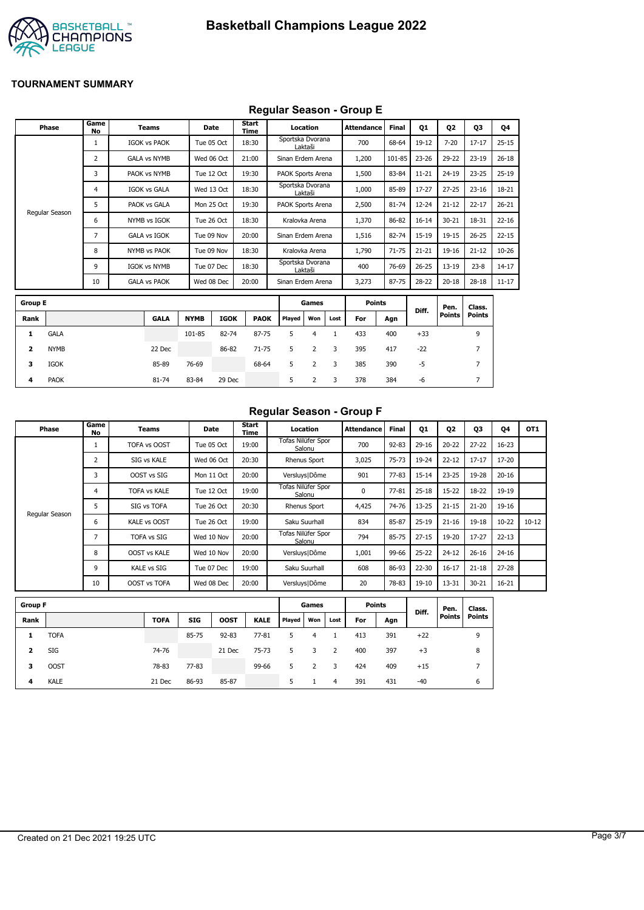

## **Regular Season - Group E**

|                         | <b>Phase</b>   | Game<br><b>No</b> | <b>Teams</b>        |             | Date        | Start<br>Time |                   | Location       |      | <b>Attendance</b> | <b>Final</b> | <b>Q1</b> | Q <sub>2</sub> | Q3             | Q4        |
|-------------------------|----------------|-------------------|---------------------|-------------|-------------|---------------|-------------------|----------------|------|-------------------|--------------|-----------|----------------|----------------|-----------|
|                         |                | 1                 | <b>IGOK vs PAOK</b> |             | Tue 05 Oct  | 18:30         | Sportska Dvorana  | Laktaši        |      | 700               | 68-64        | 19-12     | $7 - 20$       | $17 - 17$      | $25 - 15$ |
|                         |                | $\overline{2}$    | <b>GALA vs NYMB</b> |             | Wed 06 Oct  | 21:00         | Sinan Erdem Arena |                |      | 1,200             | 101-85       | $23 - 26$ | 29-22          | $23-19$        | $26 - 18$ |
|                         |                | 3                 | PAOK vs NYMB        |             | Tue 12 Oct  | 19:30         | PAOK Sports Arena |                |      | 1,500             | 83-84        | $11 - 21$ | $24 - 19$      | $23 - 25$      | $25-19$   |
|                         |                | 4                 | <b>IGOK vs GALA</b> |             | Wed 13 Oct  | 18:30         | Sportska Dvorana  | Laktaši        |      | 1,000             | 85-89        | $17 - 27$ | $27 - 25$      | $23 - 16$      | 18-21     |
|                         |                | 5                 | PAOK vs GALA        |             | Mon 25 Oct  | 19:30         | PAOK Sports Arena |                |      | 2,500             | 81-74        | $12 - 24$ | $21 - 12$      | $22 - 17$      | $26 - 21$ |
|                         | Regular Season | 6                 | NYMB vs IGOK        |             | Tue 26 Oct  | 18:30         |                   | Kralovka Arena |      | 1,370             | 86-82        | $16 - 14$ | $30 - 21$      | 18-31          | $22 - 16$ |
|                         |                | 7                 | <b>GALA vs IGOK</b> |             | Tue 09 Nov  | 20:00         | Sinan Erdem Arena |                |      | 1,516             | 82-74        | $15 - 19$ | $19 - 15$      | $26 - 25$      | $22 - 15$ |
|                         |                | 8                 | <b>NYMB vs PAOK</b> |             | Tue 09 Nov  | 18:30         |                   | Kralovka Arena |      | 1,790             | $71 - 75$    | $21 - 21$ | $19 - 16$      | $21 - 12$      | $10 - 26$ |
|                         |                | 9                 | <b>IGOK vs NYMB</b> |             | Tue 07 Dec  | 18:30         | Sportska Dvorana  | Laktaši        |      | 400               | 76-69        | $26 - 25$ | $13 - 19$      | $23 - 8$       | $14 - 17$ |
|                         |                | 10                | <b>GALA vs PAOK</b> |             | Wed 08 Dec  | 20:00         | Sinan Erdem Arena |                |      | 3,273             | $87 - 75$    | $28 - 22$ | $20 - 18$      | $28 - 18$      | $11 - 17$ |
| <b>Group E</b>          |                |                   |                     |             |             |               |                   | Games          |      | <b>Points</b>     |              |           | Pen.           | Class.         |           |
| Rank                    |                |                   | <b>GALA</b>         | <b>NYMB</b> | <b>IGOK</b> | <b>PAOK</b>   | Played            | Won            | Lost | For               | Agn          | Diff.     | <b>Points</b>  | <b>Points</b>  |           |
| 1                       | <b>GALA</b>    |                   |                     | 101-85      | 82-74       | 87-75         | 5                 | $\overline{4}$ | 1    | 433               | 400          | $+33$     |                | 9              |           |
| $\overline{\mathbf{z}}$ | <b>NYMB</b>    |                   | 22 Dec              |             | 86-82       | $71 - 75$     | 5                 | $\overline{2}$ | 3    | 395               | 417          | $-22$     |                | $\overline{7}$ |           |
| 3                       | <b>IGOK</b>    |                   | 85-89               | 76-69       |             | 68-64         | 5                 | $\overline{2}$ | 3    | 385               | 390          | $-5$      |                | 7              |           |
| 4                       | <b>PAOK</b>    |                   | 81-74               | 83-84       | 29 Dec      |               | 5                 | 2              | 3    | 378               | 384          | -6        |                | $\overline{7}$ |           |

### **Regular Season - Group F**

| Phase          | Game<br>No | Teams               | Date       | Start<br>Time | Location                     | Attendance | <b>Final</b> | 01        | Q2        | 03        | 04        | OT <sub>1</sub> |
|----------------|------------|---------------------|------------|---------------|------------------------------|------------|--------------|-----------|-----------|-----------|-----------|-----------------|
|                |            | TOFA vs OOST        | Tue 05 Oct | 19:00         | Tofas Nilüfer Spor<br>Salonu | 700        | $92 - 83$    | $29 - 16$ | $20 - 22$ | $27 - 22$ | $16 - 23$ |                 |
|                | 2          | SIG vs KALE         | Wed 06 Oct | 20:30         | <b>Rhenus Sport</b>          | 3,025      | 75-73        | 19-24     | $22 - 12$ | $17 - 17$ | $17 - 20$ |                 |
|                | 3          | OOST vs SIG         | Mon 11 Oct | 20:00         | Versluys   Dôme              | 901        | $77 - 83$    | $15 - 14$ | $23 - 25$ | 19-28     | $20 - 16$ |                 |
|                | 4          | <b>TOFA vs KALE</b> | Tue 12 Oct | 19:00         | Tofas Nilüfer Spor<br>Salonu | 0          | $77 - 81$    | $25 - 18$ | $15 - 22$ | 18-22     | 19-19     |                 |
|                |            | SIG vs TOFA         | Tue 26 Oct | 20:30         | <b>Rhenus Sport</b>          | 4,425      | 74-76        | $13 - 25$ | $21 - 15$ | $21 - 20$ | 19-16     |                 |
| Regular Season | 6          | KALE vs OOST        | Tue 26 Oct | 19:00         | Saku Suurhall                | 834        | 85-87        | $25-19$   | $21 - 16$ | $19 - 18$ | $10 - 22$ | $10 - 12$       |
|                | ,          | <b>TOFA vs SIG</b>  | Wed 10 Nov | 20:00         | Tofas Nilüfer Spor<br>Salonu | 794        | 85-75        | $27 - 15$ | 19-20     | $17 - 27$ | $22 - 13$ |                 |
|                | 8          | <b>OOST vs KALE</b> | Wed 10 Nov | 20:00         | Versluys   Dôme              | 1,001      | 99-66        | $25 - 22$ | $24 - 12$ | $26 - 16$ | $24 - 16$ |                 |
|                | 9          | <b>KALE vs SIG</b>  | Tue 07 Dec | 19:00         | Saku Suurhall                | 608        | 86-93        | $22 - 30$ | $16 - 17$ | $21 - 18$ | $27 - 28$ |                 |
|                | 10         | OOST vs TOFA        | Wed 08 Dec | 20:00         | Versluys   Dôme              | 20         | 78-83        | 19-10     | 13-31     | $30 - 21$ | $16 - 21$ |                 |

| <b>Group F</b> |             |             |            |             |             |        | Games |                | <b>Points</b> |     | Diff. | Pen.          | Class.        |
|----------------|-------------|-------------|------------|-------------|-------------|--------|-------|----------------|---------------|-----|-------|---------------|---------------|
| Rank           |             | <b>TOFA</b> | <b>SIG</b> | <b>OOST</b> | <b>KALE</b> | Played | Won   | Lost           | For           | Agn |       | <b>Points</b> | <b>Points</b> |
|                | <b>TOFA</b> |             | 85-75      | $92 - 83$   | $77 - 81$   | 5      | 4     |                | 413           | 391 | $+22$ |               | 9             |
| 2              | SIG         | 74-76       |            | 21 Dec      | 75-73       | 5.     | 3     | 2              | 400           | 397 | $+3$  |               | 8             |
| з              | <b>OOST</b> | 78-83       | 77-83      |             | 99-66       | 5      |       | 3              | 424           | 409 | $+15$ |               |               |
| 4              | <b>KALE</b> | 21 Dec      | 86-93      | 85-87       |             | 5.     |       | $\overline{4}$ | 391           | 431 | $-40$ |               | ь             |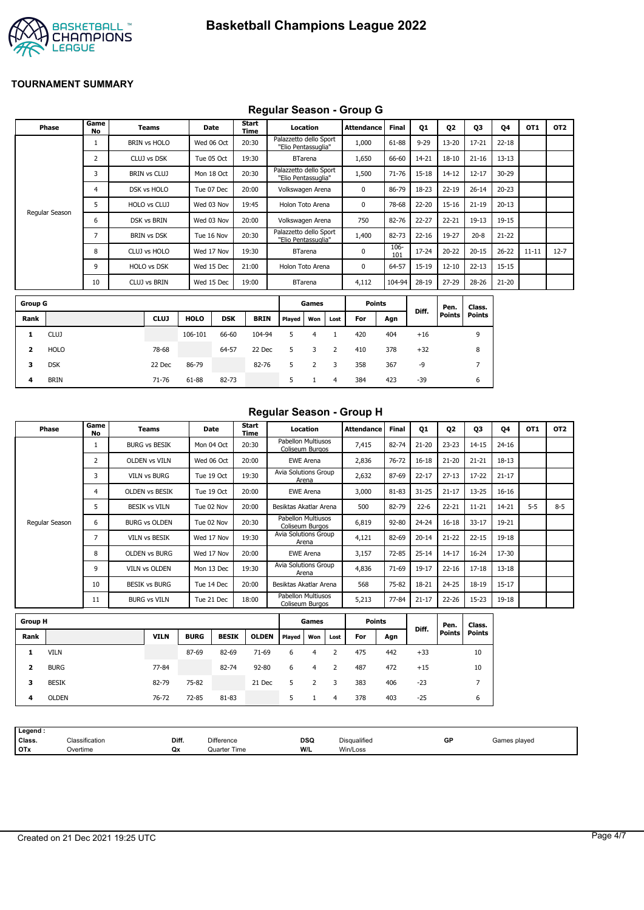

## **Regular Season - Group G**

|                | Phase          | Game<br><b>No</b> | <b>Teams</b>        | <b>Date</b> |            | <b>Start</b><br><b>Time</b> |                                               | Location       |                | Attendance    | <b>Final</b> | Q1        | Q <sub>2</sub>        | Q3                      | Q4        | OT <sub>1</sub> | OT <sub>2</sub> |
|----------------|----------------|-------------------|---------------------|-------------|------------|-----------------------------|-----------------------------------------------|----------------|----------------|---------------|--------------|-----------|-----------------------|-------------------------|-----------|-----------------|-----------------|
|                |                | $\mathbf{1}$      | <b>BRIN vs HOLO</b> | Wed 06 Oct  |            | 20:30                       | Palazzetto dello Sport<br>"Elio Pentassuglia" |                |                | 1,000         | 61-88        | $9 - 29$  | $13 - 20$             | $17 - 21$               | $22 - 18$ |                 |                 |
|                |                | $\overline{2}$    | CLUJ vs DSK         | Tue 05 Oct  |            | 19:30                       |                                               | <b>BTarena</b> |                | 1,650         | 66-60        | 14-21     | $18 - 10$             | $21 - 16$               | $13 - 13$ |                 |                 |
|                |                | 3                 | <b>BRIN vs CLUJ</b> | Mon 18 Oct  |            | 20:30                       | Palazzetto dello Sport<br>"Elio Pentassuglia" |                |                | 1,500         | $71 - 76$    | $15 - 18$ | $14 - 12$             | $12 - 17$               | 30-29     |                 |                 |
|                |                | 4                 | DSK vs HOLO         | Tue 07 Dec  |            | 20:00                       | Volkswagen Arena                              |                |                | 0             | 86-79        | 18-23     | $22 - 19$             | $26 - 14$               | $20 - 23$ |                 |                 |
|                |                | 5                 | HOLO vs CLUJ        | Wed 03 Nov  |            | 19:45                       | Holon Toto Arena                              |                |                | 0             | 78-68        | $22 - 20$ | $15 - 16$             | $21 - 19$               | $20 - 13$ |                 |                 |
|                | Regular Season | 6                 | DSK vs BRIN         | Wed 03 Nov  |            | 20:00                       | Volkswagen Arena                              |                |                | 750           | 82-76        | $22 - 27$ | $22 - 21$             | $19 - 13$               | 19-15     |                 |                 |
|                |                | 7                 | <b>BRIN vs DSK</b>  | Tue 16 Nov  |            | 20:30                       | Palazzetto dello Sport<br>"Elio Pentassuglia" |                |                | 1,400         | 82-73        | $22 - 16$ | 19-27                 | $20 - 8$                | $21 - 22$ |                 |                 |
|                |                | 8                 | CLUJ vs HOLO        | Wed 17 Nov  |            | 19:30                       |                                               | <b>BTarena</b> |                | 0             | 106-<br>101  | $17 - 24$ | $20 - 22$             | $20 - 15$               | $26 - 22$ | $11 - 11$       | $12 - 7$        |
|                |                | 9                 | HOLO vs DSK         | Wed 15 Dec  |            | 21:00                       | Holon Toto Arena                              |                |                | 0             | 64-57        | $15 - 19$ | $12 - 10$             | $22 - 13$               | $15 - 15$ |                 |                 |
|                |                | 10                | CLUJ vs BRIN        | Wed 15 Dec  |            | 19:00                       |                                               | <b>BTarena</b> |                | 4,112         | 104-94       | $28-19$   | $27 - 29$             | $28 - 26$               | $21 - 20$ |                 |                 |
| <b>Group G</b> |                |                   |                     |             |            |                             |                                               | Games          |                | <b>Points</b> |              |           |                       |                         |           |                 |                 |
|                |                |                   |                     |             |            |                             |                                               |                |                |               |              | Diff.     | Pen.<br><b>Points</b> | Class.<br><b>Points</b> |           |                 |                 |
| Rank           |                |                   | <b>CLUJ</b>         | <b>HOLO</b> | <b>DSK</b> | <b>BRIN</b>                 | Played                                        | Won            | Lost           | For           | Agn          |           |                       |                         |           |                 |                 |
| 1              | <b>CLUJ</b>    |                   |                     | 106-101     | 66-60      | 104-94                      | 5                                             | $\overline{4}$ | $\mathbf{1}$   | 420           | 404          | $+16$     |                       | 9                       |           |                 |                 |
| 2              | <b>HOLO</b>    |                   | 78-68               |             | 64-57      | 22 Dec                      | 5                                             | 3              | 2              | 410           | 378          | $+32$     |                       | 8                       |           |                 |                 |
| 3              | <b>DSK</b>     |                   | 22 Dec              | 86-79       |            | 82-76                       | 5                                             | $\overline{2}$ | 3              | 358           | 367          | -9        |                       | $\overline{7}$          |           |                 |                 |
| 4              | <b>BRIN</b>    |                   | 71-76               | 61-88       | 82-73      |                             | 5                                             | $\mathbf{1}$   | $\overline{4}$ | 384           | 423          | $-39$     |                       | 6                       |           |                 |                 |

## **Regular Season - Group H**

|                | Phase          | Game<br><b>No</b> | <b>Teams</b>          |             | Date         | Start<br>Time |                                              | Location         |                | <b>Attendance</b> | <b>Final</b> | Q1        | Q <sub>2</sub> | Q3             | 04        | OT <sub>1</sub> | OT2     |
|----------------|----------------|-------------------|-----------------------|-------------|--------------|---------------|----------------------------------------------|------------------|----------------|-------------------|--------------|-----------|----------------|----------------|-----------|-----------------|---------|
|                |                | $\mathbf{1}$      | <b>BURG vs BESIK</b>  |             | Mon 04 Oct   | 20:30         | <b>Pabellon Multiusos</b><br>Coliseum Burgos |                  |                | 7,415             | 82-74        | $21 - 20$ | $23 - 23$      | $14 - 15$      | $24 - 16$ |                 |         |
|                |                | 2                 | <b>OLDEN vs VILN</b>  |             | Wed 06 Oct   | 20:00         |                                              | <b>EWE Arena</b> |                | 2,836             | 76-72        | $16 - 18$ | $21 - 20$      | $21 - 21$      | $18 - 13$ |                 |         |
|                |                | 3                 | <b>VILN vs BURG</b>   |             | Tue 19 Oct   | 19:30         | <b>Avia Solutions Group</b>                  | Arena            |                | 2,632             | 87-69        | $22 - 17$ | $27 - 13$      | $17 - 22$      | $21 - 17$ |                 |         |
|                |                | 4                 | <b>OLDEN VS BESIK</b> |             | Tue 19 Oct   | 20:00         |                                              | <b>EWE Arena</b> |                | 3,000             | 81-83        | $31 - 25$ | $21 - 17$      | $13 - 25$      | $16 - 16$ |                 |         |
|                |                | 5                 | <b>BESIK vs VILN</b>  |             | Tue 02 Nov   | 20:00         | Besiktas Akatlar Arena                       |                  |                | 500               | 82-79        | $22-6$    | $22 - 21$      | $11 - 21$      | 14-21     | $5-5$           | $8 - 5$ |
|                | Regular Season | 6                 | <b>BURG vs OLDEN</b>  |             | Tue 02 Nov   | 20:30         | <b>Pabellon Multiusos</b><br>Coliseum Burgos |                  |                | 6,819             | 92-80        | 24-24     | $16 - 18$      | $33 - 17$      | 19-21     |                 |         |
|                |                | $\overline{7}$    | VILN vs BESIK         |             | Wed 17 Nov   | 19:30         | Avia Solutions Group                         | Arena            |                | 4,121             | 82-69        | $20 - 14$ | $21 - 22$      | $22 - 15$      | 19-18     |                 |         |
|                |                | 8                 | <b>OLDEN vs BURG</b>  |             | Wed 17 Nov   | 20:00         |                                              | <b>EWE Arena</b> |                | 3,157             | $72 - 85$    | $25 - 14$ | $14 - 17$      | $16 - 24$      | 17-30     |                 |         |
|                |                | 9                 | VILN vs OLDEN         |             | Mon 13 Dec   | 19:30         | Avia Solutions Group                         | Arena            |                | 4,836             | 71-69        | 19-17     | $22 - 16$      | $17 - 18$      | $13 - 18$ |                 |         |
|                |                | 10                | <b>BESIK vs BURG</b>  |             | Tue 14 Dec   | 20:00         | Besiktas Akatlar Arena                       |                  |                | 568               | 75-82        | 18-21     | 24-25          | $18 - 19$      | $15 - 17$ |                 |         |
|                |                | 11                | <b>BURG vs VILN</b>   |             | Tue 21 Dec   | 18:00         | <b>Pabellon Multiusos</b><br>Coliseum Burgos |                  |                | 5,213             | 77-84        | $21 - 17$ | $22 - 26$      | $15 - 23$      | 19-18     |                 |         |
| <b>Group H</b> |                |                   |                       |             |              |               |                                              | Games            |                | <b>Points</b>     |              |           | Pen.           | Class.         |           |                 |         |
| Rank           |                |                   | <b>VILN</b>           | <b>BURG</b> | <b>BESIK</b> | <b>OLDEN</b>  | Played                                       | Won              | Lost           | For               | Agn          | Diff.     | <b>Points</b>  | <b>Points</b>  |           |                 |         |
| 1              | <b>VILN</b>    |                   |                       | 87-69       | 82-69        | 71-69         | 6                                            | $\overline{4}$   | 2              | 475               | 442          | $+33$     |                | 10             |           |                 |         |
| 2              | <b>BURG</b>    |                   | 77-84                 |             | 82-74        | 92-80         | 6                                            | $\overline{4}$   | $\overline{2}$ | 487               | 472          | $+15$     |                | 10             |           |                 |         |
| 3              | <b>BESIK</b>   |                   | 82-79                 | 75-82       |              | 21 Dec        | 5                                            | $\overline{2}$   | 3              | 383               | 406          | $-23$     |                | $\overline{7}$ |           |                 |         |
| 4              | <b>OLDEN</b>   |                   | 76-72                 | 72-85       | 81-83        |               | 5                                            | $\mathbf{1}$     | 4              | 378               | 403          | $-25$     |                | 6              |           |                 |         |
|                |                |                   |                       |             |              |               |                                              |                  |                |                   |              |           |                |                |           |                 |         |

| Legend :   |                |       |                   |            |              |    |              |
|------------|----------------|-------|-------------------|------------|--------------|----|--------------|
| Class.     | Classification | Diff. | <b>Difference</b> | <b>DSQ</b> | Disqualified | GP | Games played |
| <b>OTx</b> | Overtime       | Qx    | Quarter Time      | W/L        | Win/Loss     |    |              |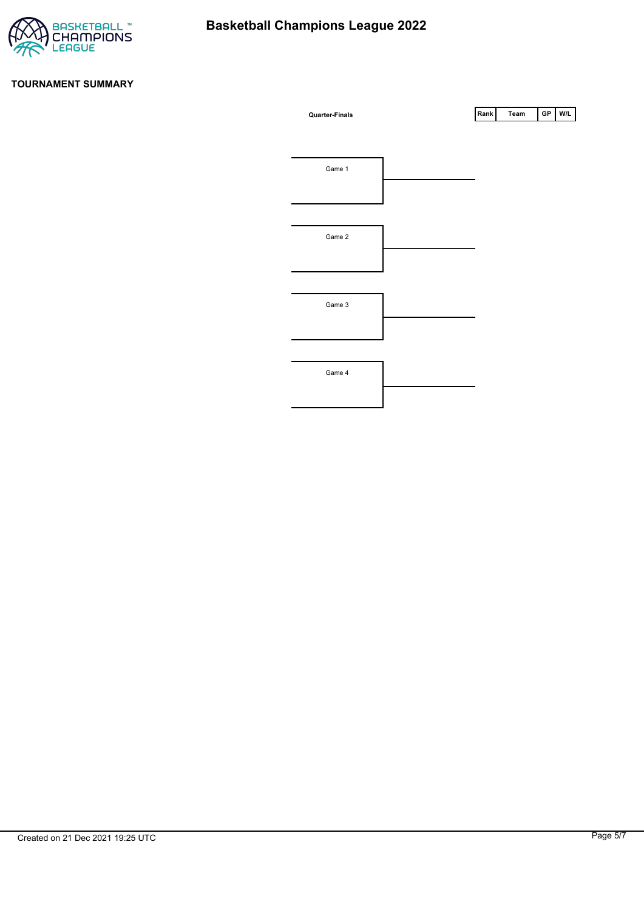

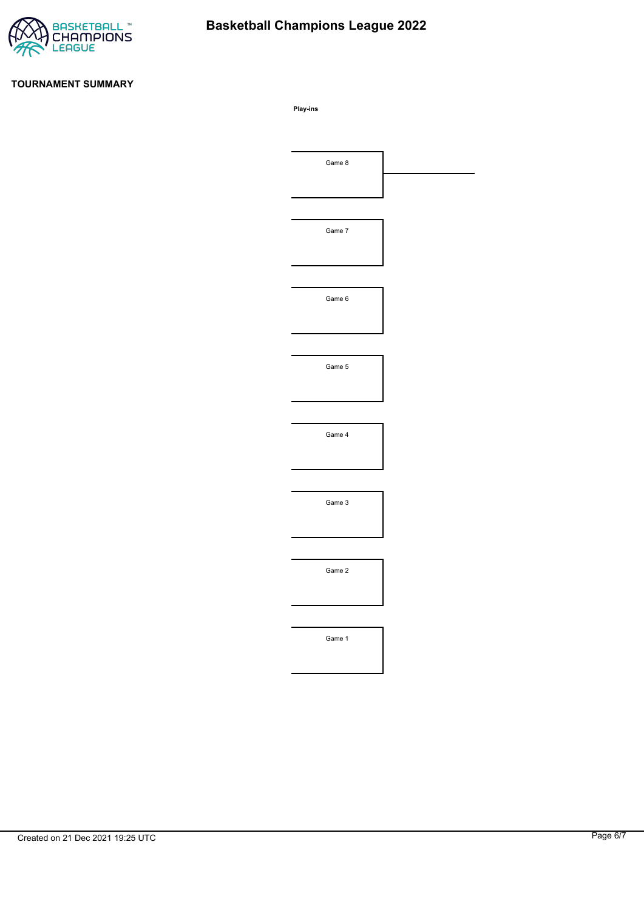

# **Basketball Champions League 2022**

#### **TOURNAMENT SUMMARY**

**Play-ins**

| Game 8 |  |
|--------|--|
|        |  |
|        |  |
| Game 7 |  |
|        |  |
|        |  |
| Game 6 |  |
|        |  |
|        |  |
| Game 5 |  |
|        |  |
|        |  |
| Game 4 |  |
|        |  |
|        |  |
| Game 3 |  |
|        |  |
|        |  |
| Game 2 |  |
|        |  |
|        |  |
| Game 1 |  |
|        |  |
|        |  |
|        |  |